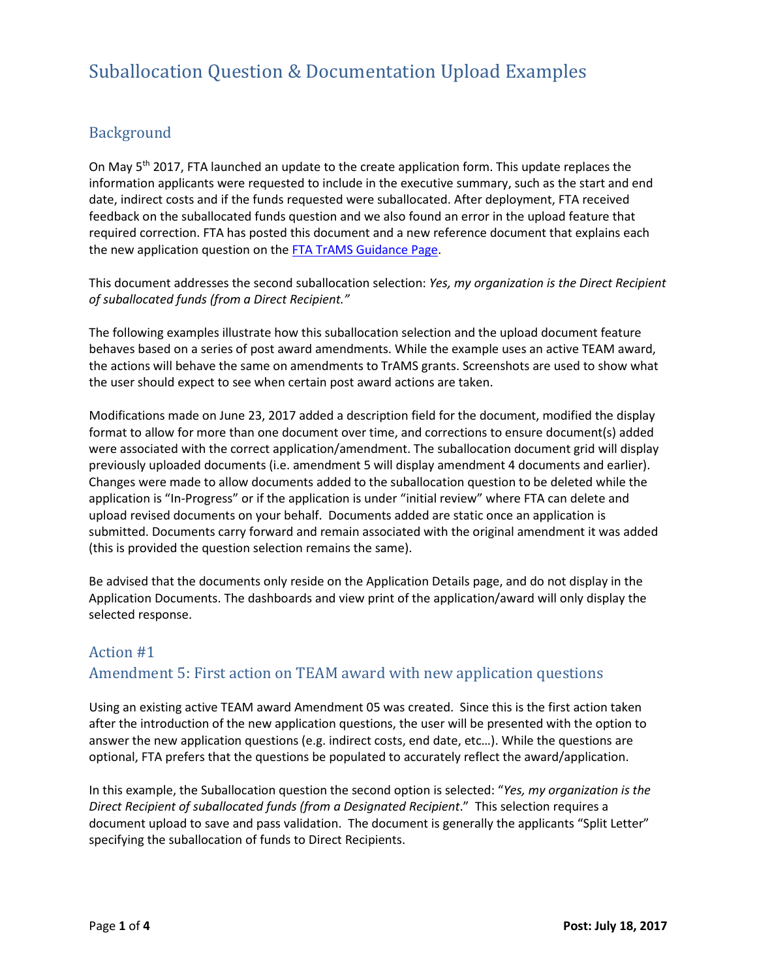## Background

On May 5<sup>th</sup> 2017, FTA launched an update to the create application form. This update replaces the information applicants were requested to include in the executive summary, such as the start and end date, indirect costs and if the funds requested were suballocated. After deployment, FTA received feedback on the suballocated funds question and we also found an error in the upload feature that required correction. FTA has posted this document and a new reference document that explains each the new application question on the [FTA TrAMS Guidance Page.](http://www.transit.fta.dot.gov/trams)

This document addresses the second suballocation selection: *Yes, my organization is the Direct Recipient of suballocated funds (from a Direct Recipient."*

The following examples illustrate how this suballocation selection and the upload document feature behaves based on a series of post award amendments. While the example uses an active TEAM award, the actions will behave the same on amendments to TrAMS grants. Screenshots are used to show what the user should expect to see when certain post award actions are taken.

Modifications made on June 23, 2017 added a description field for the document, modified the display format to allow for more than one document over time, and corrections to ensure document(s) added were associated with the correct application/amendment. The suballocation document grid will display previously uploaded documents (i.e. amendment 5 will display amendment 4 documents and earlier). Changes were made to allow documents added to the suballocation question to be deleted while the application is "In-Progress" or if the application is under "initial review" where FTA can delete and upload revised documents on your behalf. Documents added are static once an application is submitted. Documents carry forward and remain associated with the original amendment it was added (this is provided the question selection remains the same).

Be advised that the documents only reside on the Application Details page, and do not display in the Application Documents. The dashboards and view print of the application/award will only display the selected response.

## Action #1 Amendment 5: First action on TEAM award with new application questions

Using an existing active TEAM award Amendment 05 was created. Since this is the first action taken after the introduction of the new application questions, the user will be presented with the option to answer the new application questions (e.g. indirect costs, end date, etc…). While the questions are optional, FTA prefers that the questions be populated to accurately reflect the award/application.

In this example, the Suballocation question the second option is selected: "*Yes, my organization is the Direct Recipient of suballocated funds (from a Designated Recipient*." This selection requires a document upload to save and pass validation. The document is generally the applicants "Split Letter" specifying the suballocation of funds to Direct Recipients.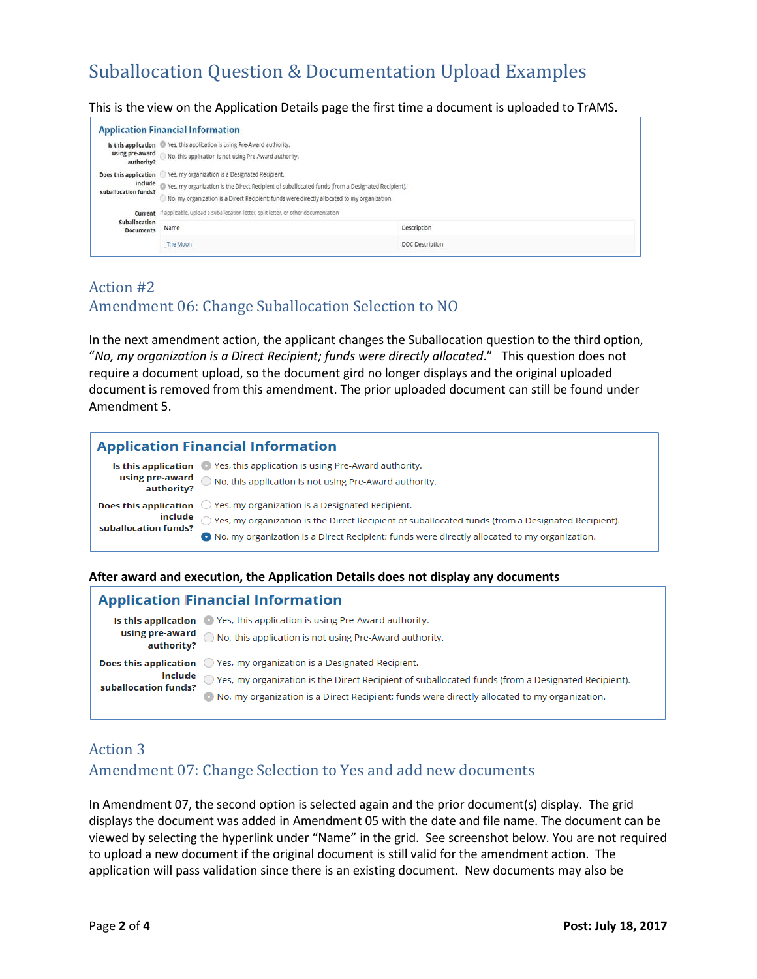This is the view on the Application Details page the first time a document is uploaded to TrAMS.

| <b>Application Financial Information</b>                                                                    |                                                                                                                                                                                                                                                                                        |                 |  |  |  |
|-------------------------------------------------------------------------------------------------------------|----------------------------------------------------------------------------------------------------------------------------------------------------------------------------------------------------------------------------------------------------------------------------------------|-----------------|--|--|--|
| using pre-award<br>authority?                                                                               | Is this application Ves, this application is using Pre-Award authority.<br>No. this application is not using Pre-Award authority.                                                                                                                                                      |                 |  |  |  |
| suballocation funds?                                                                                        | Does this application C Yes. my organization is a Designated Recipient.<br>include @ Yes, my organization is the Direct Recipient of suballocated funds (from a Designated Recipient).<br>No, my organization is a Direct Recipient: funds were directly allocated to my organization. |                 |  |  |  |
| Current If applicable, upload a suballocation letter, split letter, or other documentation<br>Suballocation |                                                                                                                                                                                                                                                                                        |                 |  |  |  |
| <b>Documents</b>                                                                                            | Name                                                                                                                                                                                                                                                                                   | Description     |  |  |  |
|                                                                                                             | The Moon                                                                                                                                                                                                                                                                               | DOC Description |  |  |  |

## Action #2 Amendment 06: Change Suballocation Selection to NO

In the next amendment action, the applicant changes the Suballocation question to the third option, "*No, my organization is a Direct Recipient; funds were directly allocated*." This question does not require a document upload, so the document gird no longer displays and the original uploaded document is removed from this amendment. The prior uploaded document can still be found under Amendment 5.

#### **Application Financial Information** Is this application • Yes, this application is using Pre-Award authority. **using pre-award**  $\bigcirc$  No, this application is not using Pre-Award authority. authority? **Does this application**  $\bigcirc$  Yes, my organization is a Designated Recipient. include  $\bigcirc$  Yes, my organization is the Direct Recipient of suballocated funds (from a Designated Recipient). suballocation funds? O No, my organization is a Direct Recipient; funds were directly allocated to my organization.

#### **After award and execution, the Application Details does not display any documents**

#### **Application Financial Information**

| authority?           | <b>Is this application</b> • Yes, this application is using Pre-Award authority.<br><b>using pre-award</b> $\bigcirc$ No, this application is not using Pre-Award authority.                                                                                                                                    |
|----------------------|-----------------------------------------------------------------------------------------------------------------------------------------------------------------------------------------------------------------------------------------------------------------------------------------------------------------|
| suballocation funds? | <b>Does this application</b> $\bigcirc$ Yes, my organization is a Designated Recipient.<br>$\blacksquare$ The Yes, my organization is the Direct Recipient of suballocated funds (from a Designated Recipient).<br>No, my organization is a Direct Recipient; funds were directly allocated to my organization. |

## Action 3

## Amendment 07: Change Selection to Yes and add new documents

In Amendment 07, the second option is selected again and the prior document(s) display. The grid displays the document was added in Amendment 05 with the date and file name. The document can be viewed by selecting the hyperlink under "Name" in the grid. See screenshot below. You are not required to upload a new document if the original document is still valid for the amendment action. The application will pass validation since there is an existing document. New documents may also be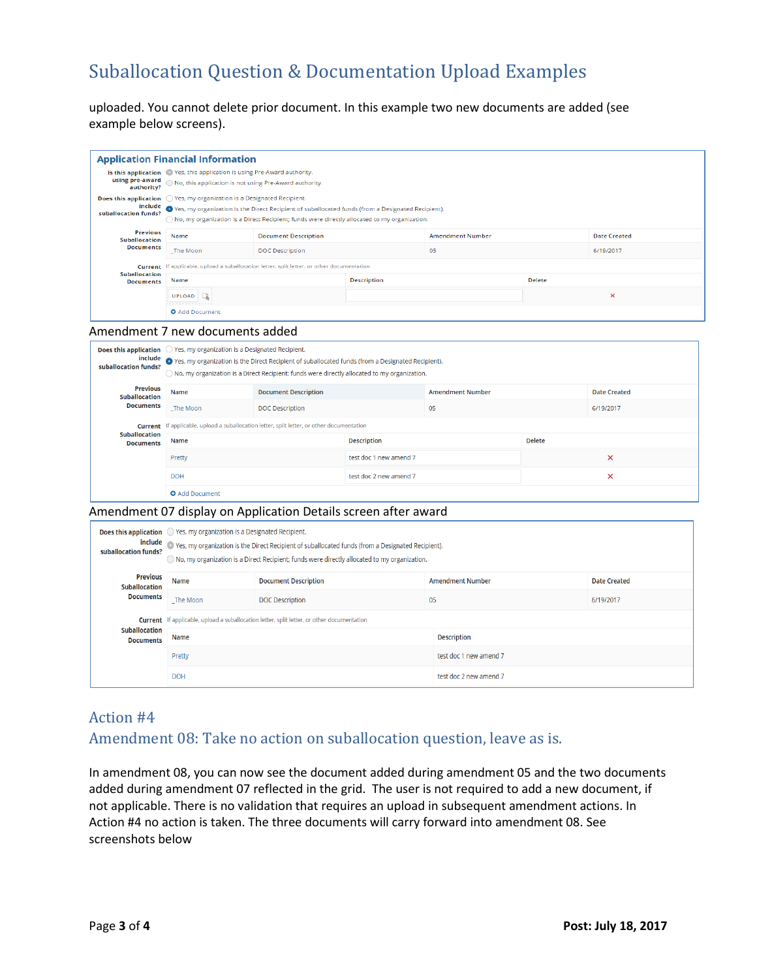uploaded. You cannot delete prior document. In this example two new documents are added (see example below screens).

| <b>Application Financial Information</b> |                                                                                                        |                                                                                                                |                    |                         |               |                     |  |
|------------------------------------------|--------------------------------------------------------------------------------------------------------|----------------------------------------------------------------------------------------------------------------|--------------------|-------------------------|---------------|---------------------|--|
|                                          | Is this application <sup>6</sup> Yes, this application is using Pre-Award authority.                   |                                                                                                                |                    |                         |               |                     |  |
| authority?                               |                                                                                                        |                                                                                                                |                    |                         |               |                     |  |
|                                          | <b>Does this application</b> $\bigcirc$ Yes, my organization is a Designated Recipient.                |                                                                                                                |                    |                         |               |                     |  |
| suballocation funds?                     |                                                                                                        | include<br>• Yes, my organization is the Direct Recipient of suballocated funds (from a Designated Recipient). |                    |                         |               |                     |  |
|                                          | $\bigcap$ No, my organization is a Direct Recipient; funds were directly allocated to my organization. |                                                                                                                |                    |                         |               |                     |  |
| <b>Previous</b><br><b>Suballocation</b>  | Name                                                                                                   | <b>Document Description</b>                                                                                    |                    | <b>Amendment Number</b> |               | <b>Date Created</b> |  |
| <b>Documents</b>                         | The Moon                                                                                               | <b>DOC</b> Description                                                                                         |                    | 05                      |               | 6/19/2017           |  |
|                                          | Current If applicable, upload a suballocation letter, split letter, or other documentation             |                                                                                                                |                    |                         |               |                     |  |
| <b>Suballocation</b><br><b>Documents</b> | Name<br>-------------                                                                                  |                                                                                                                | <b>Description</b> |                         | <b>Delete</b> |                     |  |
|                                          | <b>UPLOAD</b><br>-------------                                                                         |                                                                                                                |                    |                         | ×             |                     |  |
|                                          | <b>O</b> Add Document                                                                                  |                                                                                                                |                    |                         |               |                     |  |

#### Amendment 7 new documents added

| suballocation funds?                     | <b>Does this application</b> $\bigcirc$ Yes, my organization is a Designated Recipient.<br>include o Yes, my organization is the Direct Recipient of suballocated funds (from a Designated Recipient).<br>$\bigcirc$ No, my organization is a Direct Recipient; funds were directly allocated to my organization. |                             |                        |                         |               |                     |
|------------------------------------------|-------------------------------------------------------------------------------------------------------------------------------------------------------------------------------------------------------------------------------------------------------------------------------------------------------------------|-----------------------------|------------------------|-------------------------|---------------|---------------------|
| <b>Previous</b><br><b>Suballocation</b>  | Name                                                                                                                                                                                                                                                                                                              | <b>Document Description</b> |                        | <b>Amendment Number</b> |               | <b>Date Created</b> |
| <b>Documents</b>                         | The Moon                                                                                                                                                                                                                                                                                                          | <b>DOC</b> Description      |                        | 05                      |               | 6/19/2017           |
|                                          | <b>Current</b> If applicable, upload a suballocation letter, split letter, or other documentation                                                                                                                                                                                                                 |                             |                        |                         |               |                     |
| <b>Suballocation</b><br><b>Documents</b> | Name                                                                                                                                                                                                                                                                                                              |                             | <b>Description</b>     |                         | <b>Delete</b> |                     |
|                                          | Pretty                                                                                                                                                                                                                                                                                                            |                             | test doc 1 new amend 7 |                         |               | ×                   |
|                                          | <b>DOH</b>                                                                                                                                                                                                                                                                                                        |                             | test doc 2 new amend 7 |                         |               | ×                   |
|                                          | <b>Q</b> Add Document                                                                                                                                                                                                                                                                                             |                             |                        |                         |               |                     |

#### Amendment 07 display on Application Details screen after award

| suballocation funds?                     | <b>Does this application</b> $\bigcirc$ Yes, my organization is a Designated Recipient.<br>include o Yes, my organization is the Direct Recipient of suballocated funds (from a Designated Recipient).<br>$\bigcirc$ No, my organization is a Direct Recipient; funds were directly allocated to my organization. |                             |                         |                     |  |  |
|------------------------------------------|-------------------------------------------------------------------------------------------------------------------------------------------------------------------------------------------------------------------------------------------------------------------------------------------------------------------|-----------------------------|-------------------------|---------------------|--|--|
| <b>Previous</b><br><b>Suballocation</b>  | Name                                                                                                                                                                                                                                                                                                              | <b>Document Description</b> | <b>Amendment Number</b> | <b>Date Created</b> |  |  |
| <b>Documents</b>                         | The Moon                                                                                                                                                                                                                                                                                                          | <b>DOC Description</b>      | 05                      | 6/19/2017           |  |  |
|                                          | <b>Current</b> If applicable, upload a suballocation letter, split letter, or other documentation                                                                                                                                                                                                                 |                             |                         |                     |  |  |
| <b>Suballocation</b><br><b>Documents</b> | Name                                                                                                                                                                                                                                                                                                              |                             | <b>Description</b>      |                     |  |  |
|                                          | Pretty                                                                                                                                                                                                                                                                                                            |                             | test doc 1 new amend 7  |                     |  |  |
|                                          | <b>DOH</b>                                                                                                                                                                                                                                                                                                        |                             | test doc 2 new amend 7  |                     |  |  |

### Action #4

### Amendment 08: Take no action on suballocation question, leave as is.

In amendment 08, you can now see the document added during amendment 05 and the two documents added during amendment 07 reflected in the grid. The user is not required to add a new document, if not applicable. There is no validation that requires an upload in subsequent amendment actions. In Action #4 no action is taken. The three documents will carry forward into amendment 08. See screenshots below